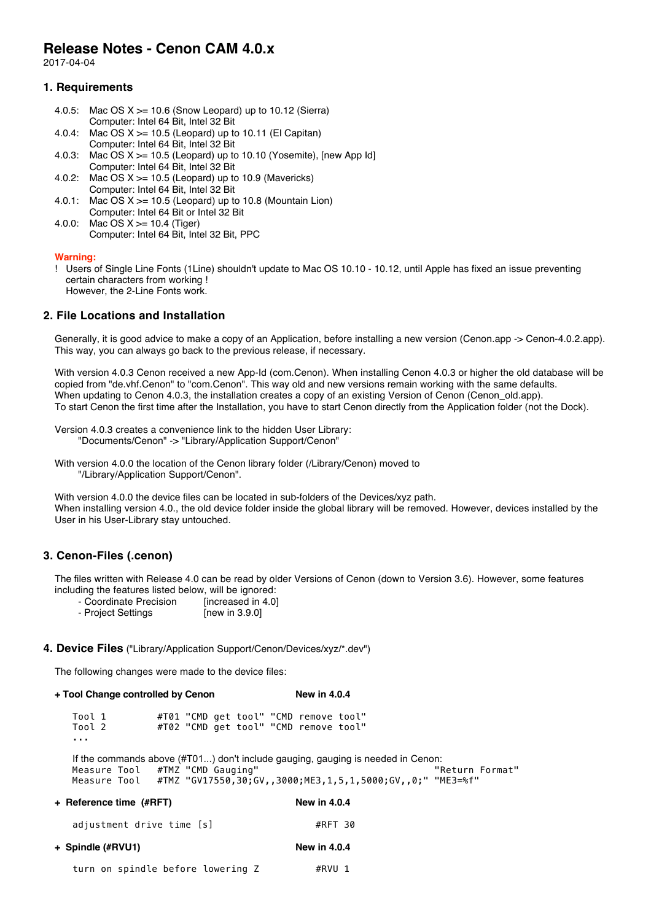# **Release Notes - Cenon CAM 4.0.x**

2017-04-04

## **1. Requirements**

- 4.0.5: Mac OS  $X \ge 10.6$  (Snow Leopard) up to 10.12 (Sierra) Computer: Intel 64 Bit, Intel 32 Bit
- 4.0.4: Mac OS  $X \ge 10.5$  (Leopard) up to 10.11 (El Capitan) Computer: Intel 64 Bit, Intel 32 Bit
- 4.0.3: Mac OS  $X \ge 10.5$  (Leopard) up to 10.10 (Yosemite), [new App Id] Computer: Intel 64 Bit, Intel 32 Bit
- 4.0.2: Mac OS  $X \ge 10.5$  (Leopard) up to 10.9 (Mavericks) Computer: Intel 64 Bit, Intel 32 Bit
- 4.0.1: Mac OS  $X \ge 10.5$  (Leopard) up to 10.8 (Mountain Lion) Computer: Intel 64 Bit or Intel 32 Bit
- 4.0.0: Mac OS X >= 10.4 (Tiger) Computer: Intel 64 Bit, Intel 32 Bit, PPC

### **Warning:**

! Users of Single Line Fonts (1Line) shouldn't update to Mac OS 10.10 - 10.12, until Apple has fixed an issue preventing certain characters from working ! However, the 2-Line Fonts work.

## **2. File Locations and Installation**

Generally, it is good advice to make a copy of an Application, before installing a new version (Cenon.app -> Cenon-4.0.2.app). This way, you can always go back to the previous release, if necessary.

With version 4.0.3 Cenon received a new App-Id (com.Cenon). When installing Cenon 4.0.3 or higher the old database will be copied from "de.vhf.Cenon" to "com.Cenon". This way old and new versions remain working with the same defaults. When updating to Cenon 4.0.3, the installation creates a copy of an existing Version of Cenon (Cenon\_old.app). To start Cenon the first time after the Installation, you have to start Cenon directly from the Application folder (not the Dock).

Version 4.0.3 creates a convenience link to the hidden User Library: "Documents/Cenon" -> "Library/Application Support/Cenon"

With version 4.0.0 the location of the Cenon library folder (/Library/Cenon) moved to "/Library/Application Support/Cenon".

With version 4.0.0 the device files can be located in sub-folders of the Devices/xyz path. When installing version 4.0., the old device folder inside the global library will be removed. However, devices installed by the User in his User-Library stay untouched.

## **3. Cenon-Files (.cenon)**

The files written with Release 4.0 can be read by older Versions of Cenon (down to Version 3.6). However, some features including the features listed below, will be ignored:

- Coordinate Precision [increased in 4.0]
- Project Settings [new in 3.9.0]

#### **4. Device Files** ("Library/Application Support/Cenon/Devices/xyz/\*.dev")

The following changes were made to the device files:

**+ Tool Change controlled by Cenon New in 4.0.4**

| Tool 1 |  |  | #T01 "CMD get tool" "CMD remove tool" |  |
|--------|--|--|---------------------------------------|--|
| Tool 2 |  |  | #T02 "CMD get tool" "CMD remove tool" |  |
| .      |  |  |                                       |  |

If the commands above (#T01...) don't include gauging, gauging is needed in Cenon:<br>"Return Format" (Measure Tool #TMZ "CMD Gauging") #TMZ "CMD Gauging" Measure Tool #TMZ "GV17550,30;GV,,3000;ME3,1,5,1,5000;GV,,0;" "ME3=%f"

| <b>New in 4.0.4</b> |  |
|---------------------|--|
| #RFT 30             |  |
| <b>New in 4.0.4</b> |  |
|                     |  |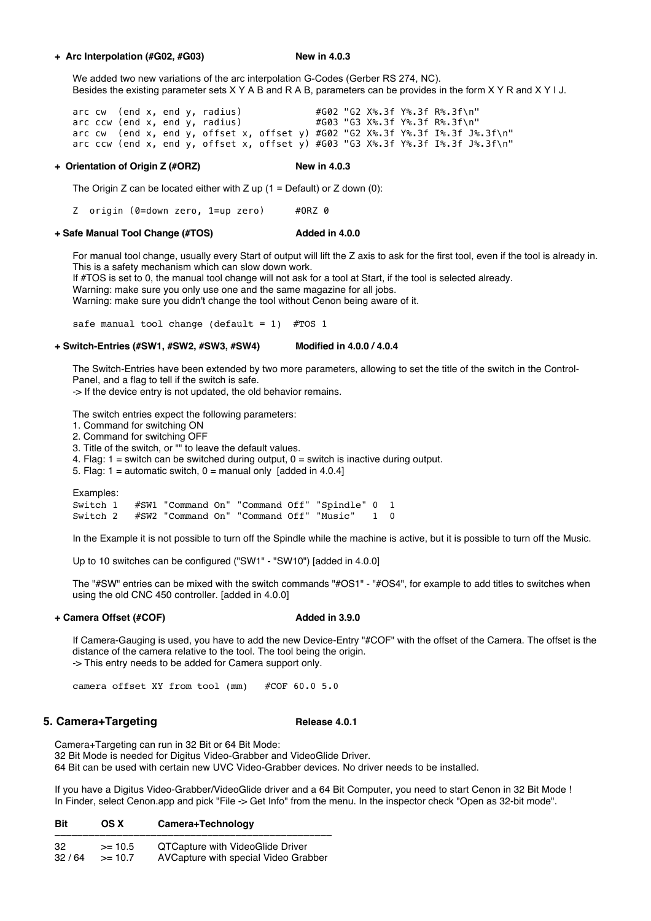### **+ Arc Interpolation (#G02, #G03) New in 4.0.3**

We added two new variations of the arc interpolation G-Codes (Gerber RS 274, NC). Besides the existing parameter sets X Y A B and R A B, parameters can be provides in the form X Y R and X Y I J.

arc cw (end x, end y, radius)  $#G02$  "G2  $X$ %.3f  $Y$ %.3f  $R$ %.3f\n"<br>arc ccw (end x, end y, radius)  $#G03$  "G3  $X$ %.3f  $Y$ %.3f  $R$ %.3f\n" arc ccw (end x, end y, radius) #G03 "G3 X%.3f Y%.3f R%.3f\n" arc cw (end x, end y, offset x, offset y) #G02 "G2 X%.3f Y%.3f I%.3f J%.3f\n" arc ccw (end x, end y, offset x, offset y) #G03 "G3 X%.3f Y%.3f I%.3f J%.3f\n"

#### **+ Orientation of Origin Z (#ORZ) New in 4.0.3**

The Origin Z can be located either with Z up  $(1 = \text{Default})$  or Z down  $(0)$ :

Z origin (0=down zero, 1=up zero) #ORZ 0

#### **+ Safe Manual Tool Change (#TOS) Added in 4.0.0**

For manual tool change, usually every Start of output will lift the Z axis to ask for the first tool, even if the tool is already in. This is a safety mechanism which can slow down work.

If #TOS is set to 0, the manual tool change will not ask for a tool at Start, if the tool is selected already.

Warning: make sure you only use one and the same magazine for all jobs.

Warning: make sure you didn't change the tool without Cenon being aware of it.

safe manual tool change (default = 1)  $#TOS$  1

#### **+ Switch-Entries (#SW1, #SW2, #SW3, #SW4) Modified in 4.0.0 / 4.0.4**

The Switch-Entries have been extended by two more parameters, allowing to set the title of the switch in the Control-Panel, and a flag to tell if the switch is safe.

-> If the device entry is not updated, the old behavior remains.

The switch entries expect the following parameters:

- 1. Command for switching ON
- 2. Command for switching OFF
- 3. Title of the switch, or "" to leave the default values.
- 4. Flag:  $1 =$  switch can be switched during output,  $0 =$  switch is inactive during output.
- 5. Flag: 1 = automatic switch,  $0 =$  manual only [added in 4.0.4]

Examples:

Switch 1 #SW1 "Command On" "Command Off" "Spindle" 0 1 Switch 2 #SW2 "Command On" "Command Off" "Music" 1

In the Example it is not possible to turn off the Spindle while the machine is active, but it is possible to turn off the Music.

Up to 10 switches can be configured ("SW1" - "SW10") [added in 4.0.0]

The "#SW" entries can be mixed with the switch commands "#OS1" - "#OS4", for example to add titles to switches when using the old CNC 450 controller. [added in 4.0.0]

## **+ Camera Offset (#COF) Added in 3.9.0**

If Camera-Gauging is used, you have to add the new Device-Entry "#COF" with the offset of the Camera. The offset is the distance of the camera relative to the tool. The tool being the origin. -> This entry needs to be added for Camera support only.

camera offset XY from tool (mm) #COF 60.0 5.0

## **5. Camera+Targeting Release 4.0.1 Release 4.0.1**

Camera+Targeting can run in 32 Bit or 64 Bit Mode: 32 Bit Mode is needed for Digitus Video-Grabber and VideoGlide Driver. 64 Bit can be used with certain new UVC Video-Grabber devices. No driver needs to be installed.

If you have a Digitus Video-Grabber/VideoGlide driver and a 64 Bit Computer, you need to start Cenon in 32 Bit Mode ! In Finder, select Cenon.app and pick "File -> Get Info" from the menu. In the inspector check "Open as 32-bit mode".

| <b>Bit</b> | OS X | Camera+Technology |
|------------|------|-------------------|
|------------|------|-------------------|

| -32   | $>= 10.5$  | QTCapture with VideoGlide Driver     |
|-------|------------|--------------------------------------|
| 32/64 | $\ge$ 10.7 | AVCapture with special Video Grabber |